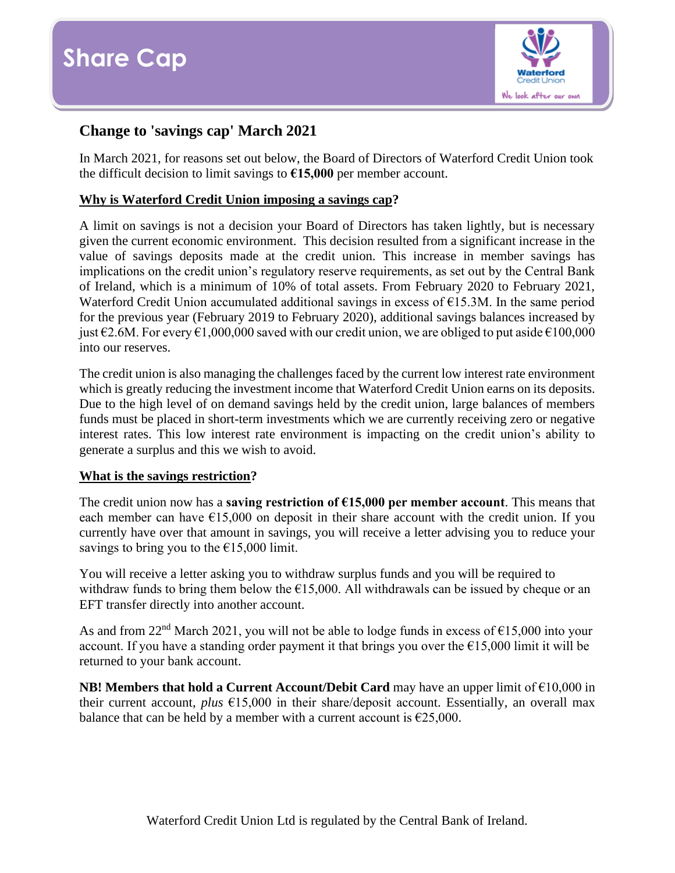

# **Change to 'savings cap' March 2021**

In March 2021, for reasons set out below, the Board of Directors of Waterford Credit Union took the difficult decision to limit savings to **€15,000** per member account.

# **Why is Waterford Credit Union imposing a savings cap?**

A limit on savings is not a decision your Board of Directors has taken lightly, but is necessary given the current economic environment. This decision resulted from a significant increase in the value of savings deposits made at the credit union. This increase in member savings has implications on the credit union's regulatory reserve requirements, as set out by the Central Bank of Ireland, which is a minimum of 10% of total assets. From February 2020 to February 2021, Waterford Credit Union accumulated additional savings in excess of €15.3M. In the same period for the previous year (February 2019 to February 2020), additional savings balances increased by just €2.6M. For every €1,000,000 saved with our credit union, we are obliged to put aside €100,000 into our reserves.

The credit union is also managing the challenges faced by the current low interest rate environment which is greatly reducing the investment income that Waterford Credit Union earns on its deposits. Due to the high level of on demand savings held by the credit union, large balances of members funds must be placed in short-term investments which we are currently receiving zero or negative interest rates. This low interest rate environment is impacting on the credit union's ability to generate a surplus and this we wish to avoid.

### **What is the savings restriction?**

The credit union now has a **saving restriction of €15,000 per member account**. This means that each member can have  $\epsilon$ 15,000 on deposit in their share account with the credit union. If you currently have over that amount in savings, you will receive a letter advising you to reduce your savings to bring you to the  $\epsilon$ 15,000 limit.

You will receive a letter asking you to withdraw surplus funds and you will be required to withdraw funds to bring them below the  $\epsilon$ 15,000. All withdrawals can be issued by cheque or an EFT transfer directly into another account.

As and from  $22<sup>nd</sup>$  March 2021, you will not be able to lodge funds in excess of  $\epsilon$ 15,000 into your account. If you have a standing order payment it that brings you over the  $\epsilon$ 15,000 limit it will be returned to your bank account.

**NB! Members that hold a Current Account/Debit Card** may have an upper limit of €10,000 in their current account, *plus* €15,000 in their share/deposit account. Essentially, an overall max balance that can be held by a member with a current account is  $\epsilon$ 25,000.